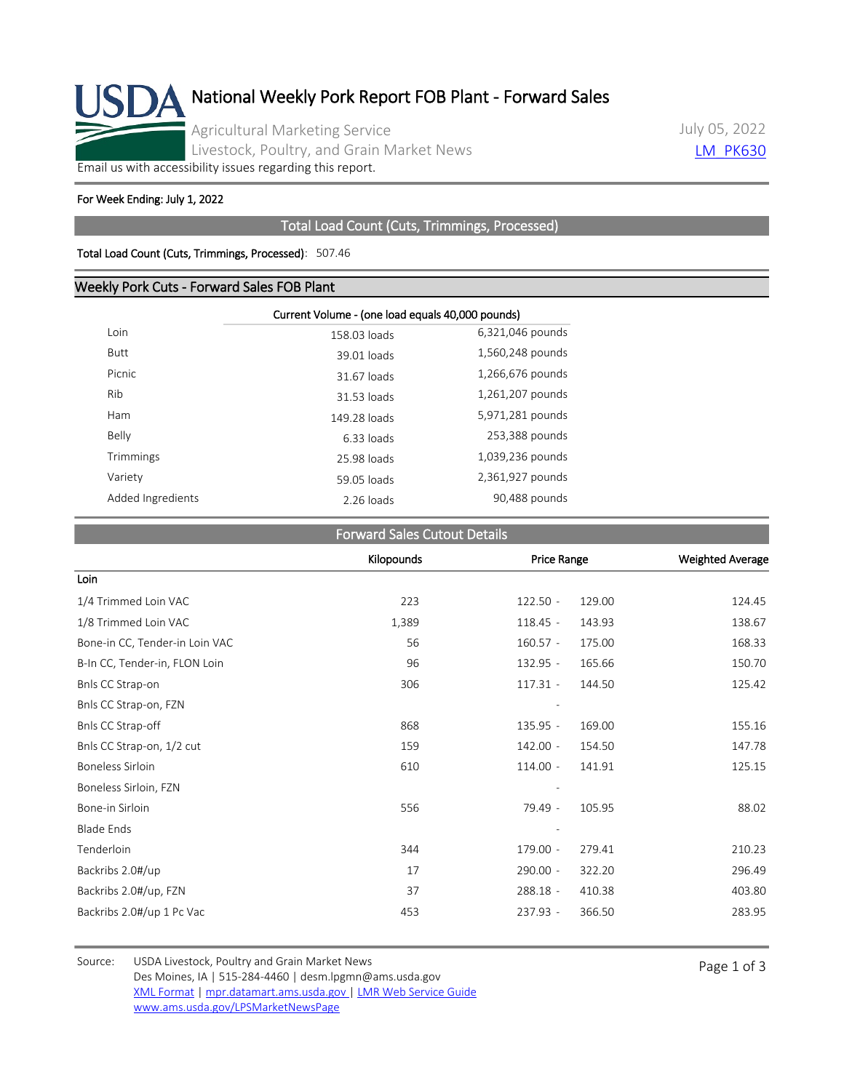

July 05, 2022 **LM PK630** 

[Email us with accessibility issues regarding this report.](mailto:mpr.lpgmn@ams.usda.gov?subject=508%20Issue)

### For Week Ending: July 1, 2022

#### Total Load Count (Cuts, Trimmings, Processed)

#### Total Load Count (Cuts, Trimmings, Processed): 507.46

### Weekly Pork Cuts - Forward Sales FOB Plant

|                   | Current Volume - (one load equals 40,000 pounds) |                  |  |
|-------------------|--------------------------------------------------|------------------|--|
| Loin              | 158.03 loads                                     | 6,321,046 pounds |  |
| Butt              | 39.01 loads                                      | 1,560,248 pounds |  |
| Picnic            | 31.67 loads                                      | 1,266,676 pounds |  |
| Rib               | 31.53 loads                                      | 1,261,207 pounds |  |
| Ham               | 149.28 loads                                     | 5,971,281 pounds |  |
| Belly             | 6.33 loads                                       | 253,388 pounds   |  |
| Trimmings         | 25.98 loads                                      | 1,039,236 pounds |  |
| Variety           | 59.05 loads                                      | 2,361,927 pounds |  |
| Added Ingredients | 2.26 loads                                       | 90,488 pounds    |  |

## Forward Sales Cutout Details

|                                | Kilopounds | Price Range |        | <b>Weighted Average</b> |
|--------------------------------|------------|-------------|--------|-------------------------|
| Loin                           |            |             |        |                         |
| 1/4 Trimmed Loin VAC           | 223        | $122.50 -$  | 129.00 | 124.45                  |
| 1/8 Trimmed Loin VAC           | 1,389      | $118.45 -$  | 143.93 | 138.67                  |
| Bone-in CC, Tender-in Loin VAC | 56         | $160.57 -$  | 175.00 | 168.33                  |
| B-In CC, Tender-in, FLON Loin  | 96         | 132.95 -    | 165.66 | 150.70                  |
| Bnls CC Strap-on               | 306        | $117.31 -$  | 144.50 | 125.42                  |
| Bnls CC Strap-on, FZN          |            |             |        |                         |
| Bnls CC Strap-off              | 868        | $135.95 -$  | 169.00 | 155.16                  |
| Bnls CC Strap-on, 1/2 cut      | 159        | $142.00 -$  | 154.50 | 147.78                  |
| Boneless Sirloin               | 610        | $114.00 -$  | 141.91 | 125.15                  |
| Boneless Sirloin, FZN          |            |             |        |                         |
| Bone-in Sirloin                | 556        | 79.49 -     | 105.95 | 88.02                   |
| <b>Blade Ends</b>              |            |             |        |                         |
| Tenderloin                     | 344        | 179.00 -    | 279.41 | 210.23                  |
| Backribs 2.0#/up               | 17         | 290.00 -    | 322.20 | 296.49                  |
| Backribs 2.0#/up, FZN          | 37         | $288.18 -$  | 410.38 | 403.80                  |
| Backribs 2.0#/up 1 Pc Vac      | 453        | 237.93 -    | 366.50 | 283.95                  |

Source: USDA Livestock, Poultry and Grain Market News<br>
Page 1 of 3 Des Moines, IA | 515-284-4460 | desm.lpgmn@ams.usda.gov [XML Format](https://mpr.datamart.ams.usda.gov/ws/report/v1/pork/LM_PK630?filter=%7B%22filters%22:%5B%7B%22fieldName%22:%22Report%20date%22,%22operatorType%22:%22EQUAL%22,%22values%22:%5B%227/5/2022%22%5D%7D%5D%7D) | [mpr.datamart.ams.usda.gov](https://mpr.datamart.ams.usda.gov/) | [LMR Web Service Guide](https://www.marketnews.usda.gov/mnp/assets/ls/USDA-LMR-WebService-Client-User-Guide-v1_prod.pdf) [www.ams.usda.gov/LPSMarketNewsPage](https://www.ams.usda.gov/LPSMarketNewsPage)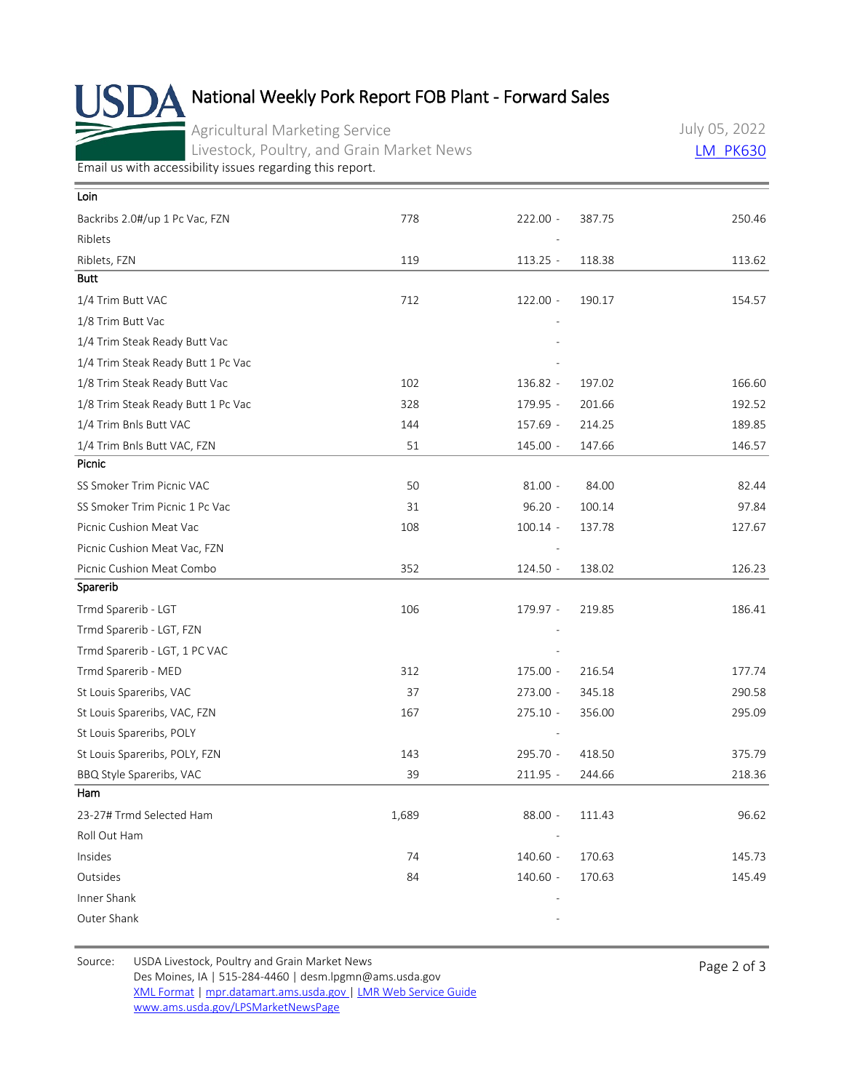# National Weekly Pork Report FOB Plant - Forward Sales

Agricultural Marketing Service Livestock, Poultry, and Grain Market News July 05, 2022 **[LM\\_PK630](https://mpr.datamart.ams.usda.gov/ws/report/v1/pork/LM_PK630?filter=%7B%22filters%22:%5B%7B%22fieldName%22:%22Report%20date%22,%22operatorType%22:%22EQUAL%22,%22values%22:%5B%227/5/2022%22%5D%7D%5D%7D)** 

[Email us with accessibility issues regarding this report.](mailto:mpr.lpgmn@ams.usda.gov?subject=508%20Issue)

| Loin                               |       |            |        |        |
|------------------------------------|-------|------------|--------|--------|
| Backribs 2.0#/up 1 Pc Vac, FZN     | 778   | $222.00 -$ | 387.75 | 250.46 |
| Riblets                            |       |            |        |        |
| Riblets, FZN                       | 119   | $113.25 -$ | 118.38 | 113.62 |
| <b>Butt</b>                        |       |            |        |        |
| 1/4 Trim Butt VAC                  | 712   | $122.00 -$ | 190.17 | 154.57 |
| 1/8 Trim Butt Vac                  |       |            |        |        |
| 1/4 Trim Steak Ready Butt Vac      |       |            |        |        |
| 1/4 Trim Steak Ready Butt 1 Pc Vac |       |            |        |        |
| 1/8 Trim Steak Ready Butt Vac      | 102   | 136.82 -   | 197.02 | 166.60 |
| 1/8 Trim Steak Ready Butt 1 Pc Vac | 328   | 179.95 -   | 201.66 | 192.52 |
| 1/4 Trim Bnls Butt VAC             | 144   | $157.69 -$ | 214.25 | 189.85 |
| 1/4 Trim Bnls Butt VAC, FZN        | 51    | $145.00 -$ | 147.66 | 146.57 |
| Picnic                             |       |            |        |        |
| SS Smoker Trim Picnic VAC          | 50    | $81.00 -$  | 84.00  | 82.44  |
| SS Smoker Trim Picnic 1 Pc Vac     | 31    | $96.20 -$  | 100.14 | 97.84  |
| Picnic Cushion Meat Vac            | 108   | $100.14 -$ | 137.78 | 127.67 |
| Picnic Cushion Meat Vac, FZN       |       |            |        |        |
| Picnic Cushion Meat Combo          | 352   | $124.50 -$ | 138.02 | 126.23 |
| Sparerib                           |       |            |        |        |
| Trmd Sparerib - LGT                | 106   | 179.97 -   | 219.85 | 186.41 |
| Trmd Sparerib - LGT, FZN           |       |            |        |        |
| Trmd Sparerib - LGT, 1 PC VAC      |       |            |        |        |
| Trmd Sparerib - MED                | 312   | $175.00 -$ | 216.54 | 177.74 |
| St Louis Spareribs, VAC            | 37    | 273.00 -   | 345.18 | 290.58 |
| St Louis Spareribs, VAC, FZN       | 167   | $275.10 -$ | 356.00 | 295.09 |
| St Louis Spareribs, POLY           |       |            |        |        |
| St Louis Spareribs, POLY, FZN      | 143   | 295.70 -   | 418.50 | 375.79 |
| BBQ Style Spareribs, VAC           | 39    | $211.95 -$ | 244.66 | 218.36 |
| Ham                                |       |            |        |        |
| 23-27# Trmd Selected Ham           | 1,689 | $88.00 -$  | 111.43 | 96.62  |
| Roll Out Ham                       |       |            |        |        |
| Insides                            | 74    | $140.60 -$ | 170.63 | 145.73 |
| Outsides                           | 84    | 140.60 -   | 170.63 | 145.49 |
| Inner Shank                        |       |            |        |        |
| Outer Shank                        |       |            |        |        |

Source: USDA Livestock, Poultry and Grain Market News<br>
Page 2 of 3 Des Moines, IA | 515-284-4460 | desm.lpgmn@ams.usda.gov [XML Format](https://mpr.datamart.ams.usda.gov/ws/report/v1/pork/LM_PK630?filter=%7B%22filters%22:%5B%7B%22fieldName%22:%22Report%20date%22,%22operatorType%22:%22EQUAL%22,%22values%22:%5B%227/5/2022%22%5D%7D%5D%7D) | [mpr.datamart.ams.usda.gov](https://mpr.datamart.ams.usda.gov/) | [LMR Web Service Guide](https://www.marketnews.usda.gov/mnp/assets/ls/USDA-LMR-WebService-Client-User-Guide-v1_prod.pdf) [www.ams.usda.gov/LPSMarketNewsPage](https://www.ams.usda.gov/LPSMarketNewsPage)